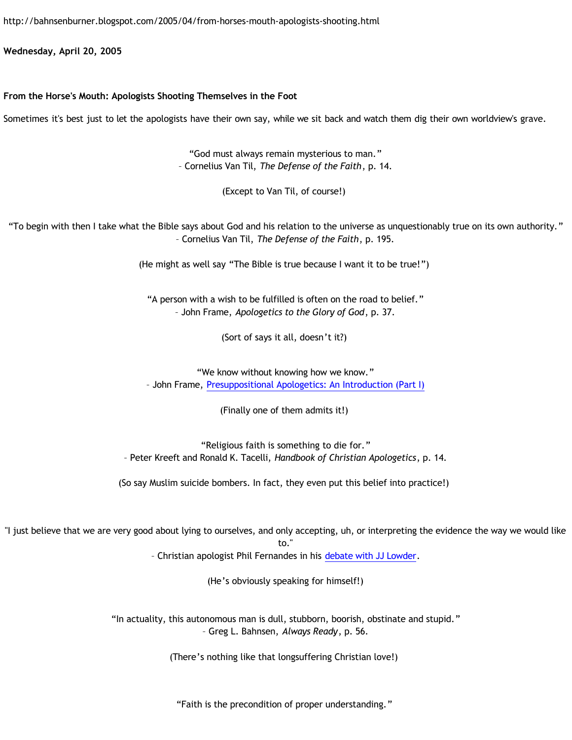<http://bahnsenburner.blogspot.com/2005/04/from-horses-mouth-apologists-shooting.html>

**Wednesday, April 20, 2005**

## **From the Horse's Mouth: Apologists Shooting Themselves in the Foot**

Sometimes it's best just to let the apologists have their own say, while we sit back and watch them dig their own worldview's grave.

"God must always remain mysterious to man." – Cornelius Van Til, *The Defense of the Faith*, p. 14.

(Except to Van Til, of course!)

"To begin with then I take what the Bible says about God and his relation to the universe as unquestionably true on its own authority." – Cornelius Van Til, *The Defense of the Faith*, p. 195.

(He might as well say "The Bible is true because I want it to be true!")

"A person with a wish to be fulfilled is often on the road to belief." – John Frame, *Apologetics to the Glory of God*, p. 37.

(Sort of says it all, doesn't it?)

"We know without knowing how we know." – John Frame, [Presuppositional Apologetics: An Introduction \(Part I\)](http://www.thirdmill.org/files/english/html/pt/PT.h.Frame.Presupp.Apol.1.html)

(Finally one of them admits it!)

"Religious faith is something to die for." – Peter Kreeft and Ronald K. Tacelli, *Handbook of Christian Apologetics*, p. 14.

(So say Muslim suicide bombers. In fact, they even put this belief into practice!)

"I just believe that we are very good about lying to ourselves, and only accepting, uh, or interpreting the evidence the way we would like to."

– Christian apologist Phil Fernandes in his [debate with JJ Lowder](http://www.infidels.org/infidels/products/video/lowder-fernandes.html).

(He's obviously speaking for himself!)

"In actuality, this autonomous man is dull, stubborn, boorish, obstinate and stupid." – Greg L. Bahnsen, *Always Ready*, p. 56.

(There's nothing like that longsuffering Christian love!)

"Faith is the precondition of proper understanding."